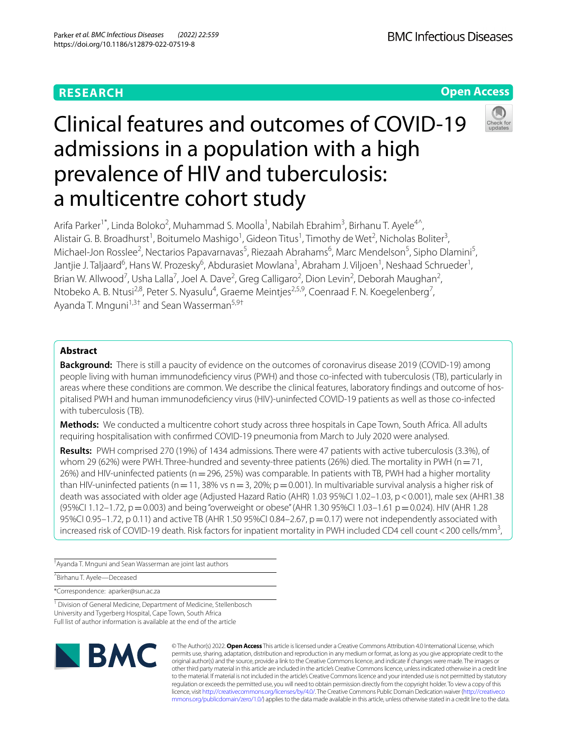# **RESEARCH**

**Open Access**

# Clinical features and outcomes of COVID-19 admissions in a population with a high prevalence of HIV and tuberculosis: a multicentre cohort study



Arifa Parker<sup>1\*</sup>, Linda Boloko<sup>2</sup>, Muhammad S. Moolla<sup>1</sup>, Nabilah Ebrahim<sup>3</sup>, Birhanu T. Ayele<sup>4^</sup>, Alistair G. B. Broadhurst<sup>1</sup>, Boitumelo Mashigo<sup>1</sup>, Gideon Titus<sup>1</sup>, Timothy de Wet<sup>2</sup>, Nicholas Boliter<sup>3</sup>, Michael-Jon Rosslee<sup>2</sup>, Nectarios Papavarnavas<sup>5</sup>, Riezaah Abrahams<sup>6</sup>, Marc Mendelson<sup>5</sup>, Sipho Dlamini<sup>5</sup>, Jantjie J. Taljaard<sup>6</sup>, Hans W. Prozesky<sup>6</sup>, Abdurasiet Mowlana<sup>1</sup>, Abraham J. Viljoen<sup>1</sup>, Neshaad Schrueder<sup>1</sup>, Brian W. Allwood<sup>7</sup>, Usha Lalla<sup>7</sup>, Joel A. Dave<sup>2</sup>, Greg Calligaro<sup>2</sup>, Dion Levin<sup>2</sup>, Deborah Maughan<sup>2</sup>, Ntobeko A. B. Ntusi<sup>2,8</sup>, Peter S. Nyasulu<sup>4</sup>, Graeme Meintjes<sup>2,5,9</sup>, Coenraad F. N. Koegelenberg<sup>7</sup>, Ayanda T. Mnguni<sup>1,3†</sup> and Sean Wasserman<sup>5,9†</sup>

# **Abstract**

**Background:** There is still a paucity of evidence on the outcomes of coronavirus disease 2019 (COVID-19) among people living with human immunodefciency virus (PWH) and those co-infected with tuberculosis (TB), particularly in areas where these conditions are common. We describe the clinical features, laboratory findings and outcome of hospitalised PWH and human immunodefciency virus (HIV)-uninfected COVID-19 patients as well as those co-infected with tuberculosis (TB).

**Methods:** We conducted a multicentre cohort study across three hospitals in Cape Town, South Africa. All adults requiring hospitalisation with confrmed COVID-19 pneumonia from March to July 2020 were analysed.

**Results:** PWH comprised 270 (19%) of 1434 admissions. There were 47 patients with active tuberculosis (3.3%), of whom 29 (62%) were PWH. Three-hundred and seventy-three patients (26%) died. The mortality in PWH (n = 71, 26%) and HIV-uninfected patients (n=296, 25%) was comparable. In patients with TB, PWH had a higher mortality than HIV-uninfected patients (n=11, 38% vs n=3, 20%; p=0.001). In multivariable survival analysis a higher risk of death was associated with older age (Adjusted Hazard Ratio (AHR) 1.03 95%CI 1.02–1.03, p<0.001), male sex (AHR1.38 (95%CI 1.12–1.72, p=0.003) and being "overweight or obese" (AHR 1.30 95%CI 1.03–1.61 p=0.024). HIV (AHR 1.28 95%CI 0.95–1.72, p 0.11) and active TB (AHR 1.50 95%CI 0.84–2.67,  $p = 0.17$ ) were not independently associated with increased risk of COVID-19 death. Risk factors for inpatient mortality in PWH included CD4 cell count<200 cells/mm<sup>3</sup>,

† Ayanda T. Mnguni and Sean Wasserman are joint last authors

^Birhanu T. Ayele—Deceased

\*Correspondence: aparker@sun.ac.za

<sup>1</sup> Division of General Medicine, Department of Medicine, Stellenbosch University and Tygerberg Hospital, Cape Town, South Africa Full list of author information is available at the end of the article



© The Author(s) 2022. **Open Access** This article is licensed under a Creative Commons Attribution 4.0 International License, which permits use, sharing, adaptation, distribution and reproduction in any medium or format, as long as you give appropriate credit to the original author(s) and the source, provide a link to the Creative Commons licence, and indicate if changes were made. The images or other third party material in this article are included in the article's Creative Commons licence, unless indicated otherwise in a credit line to the material. If material is not included in the article's Creative Commons licence and your intended use is not permitted by statutory regulation or exceeds the permitted use, you will need to obtain permission directly from the copyright holder. To view a copy of this licence, visit [http://creativecommons.org/licenses/by/4.0/.](http://creativecommons.org/licenses/by/4.0/) The Creative Commons Public Domain Dedication waiver ([http://creativeco](http://creativecommons.org/publicdomain/zero/1.0/) [mmons.org/publicdomain/zero/1.0/](http://creativecommons.org/publicdomain/zero/1.0/)) applies to the data made available in this article, unless otherwise stated in a credit line to the data.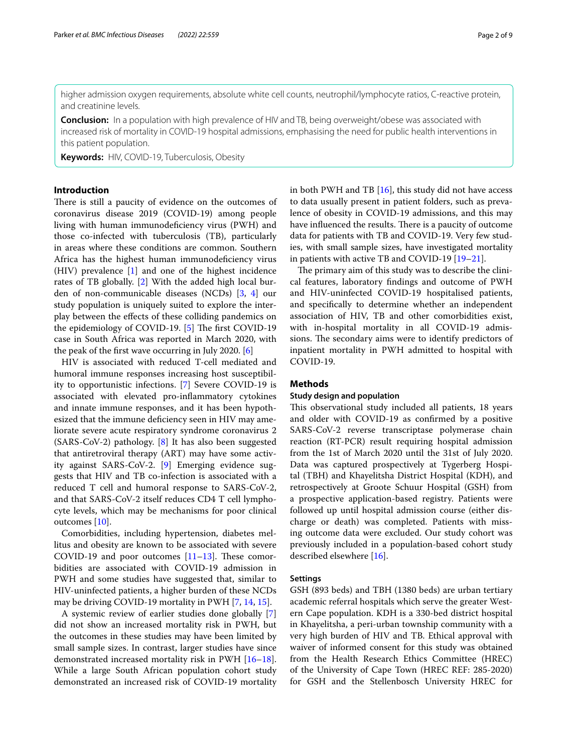higher admission oxygen requirements, absolute white cell counts, neutrophil/lymphocyte ratios, C-reactive protein, and creatinine levels.

**Conclusion:** In a population with high prevalence of HIV and TB, being overweight/obese was associated with increased risk of mortality in COVID-19 hospital admissions, emphasising the need for public health interventions in this patient population.

**Keywords:** HIV, COVID-19, Tuberculosis, Obesity

# **Introduction**

There is still a paucity of evidence on the outcomes of coronavirus disease 2019 (COVID-19) among people living with human immunodefciency virus (PWH) and those co-infected with tuberculosis (TB), particularly in areas where these conditions are common. Southern Africa has the highest human immunodefciency virus (HIV) prevalence [[1\]](#page-7-0) and one of the highest incidence rates of TB globally. [[2\]](#page-7-1) With the added high local burden of non-communicable diseases (NCDs) [[3,](#page-7-2) [4](#page-7-3)] our study population is uniquely suited to explore the interplay between the efects of these colliding pandemics on the epidemiology of COVID-19.  $[5]$  $[5]$  The first COVID-19 case in South Africa was reported in March 2020, with the peak of the frst wave occurring in July 2020. [\[6](#page-7-5)]

HIV is associated with reduced T-cell mediated and humoral immune responses increasing host susceptibility to opportunistic infections. [\[7](#page-7-6)] Severe COVID-19 is associated with elevated pro-infammatory cytokines and innate immune responses, and it has been hypothesized that the immune defciency seen in HIV may ameliorate severe acute respiratory syndrome coronavirus 2 (SARS-CoV-2) pathology. [[8\]](#page-7-7) It has also been suggested that antiretroviral therapy (ART) may have some activity against SARS-CoV-2. [\[9](#page-7-8)] Emerging evidence suggests that HIV and TB co-infection is associated with a reduced T cell and humoral response to SARS-CoV-2, and that SARS-CoV-2 itself reduces CD4 T cell lymphocyte levels, which may be mechanisms for poor clinical outcomes [[10\]](#page-7-9).

Comorbidities, including hypertension, diabetes mellitus and obesity are known to be associated with severe COVID-19 and poor outcomes  $[11-13]$  $[11-13]$ . These comorbidities are associated with COVID-19 admission in PWH and some studies have suggested that, similar to HIV-uninfected patients, a higher burden of these NCDs may be driving COVID-19 mortality in PWH [[7,](#page-7-6) [14,](#page-8-1) [15](#page-8-2)].

A systemic review of earlier studies done globally [\[7](#page-7-6)] did not show an increased mortality risk in PWH, but the outcomes in these studies may have been limited by small sample sizes. In contrast, larger studies have since demonstrated increased mortality risk in PWH [[16](#page-8-3)[–18](#page-8-4)]. While a large South African population cohort study demonstrated an increased risk of COVID-19 mortality in both PWH and TB  $[16]$  $[16]$ , this study did not have access to data usually present in patient folders, such as prevalence of obesity in COVID-19 admissions, and this may have influenced the results. There is a paucity of outcome data for patients with TB and COVID-19. Very few studies, with small sample sizes, have investigated mortality in patients with active TB and COVID-19 [[19–](#page-8-5)[21](#page-8-6)].

The primary aim of this study was to describe the clinical features, laboratory fndings and outcome of PWH and HIV-uninfected COVID-19 hospitalised patients, and specifcally to determine whether an independent association of HIV, TB and other comorbidities exist, with in-hospital mortality in all COVID-19 admissions. The secondary aims were to identify predictors of inpatient mortality in PWH admitted to hospital with COVID-19.

# **Methods**

# **Study design and population**

This observational study included all patients, 18 years and older with COVID-19 as confrmed by a positive SARS-CoV-2 reverse transcriptase polymerase chain reaction (RT-PCR) result requiring hospital admission from the 1st of March 2020 until the 31st of July 2020. Data was captured prospectively at Tygerberg Hospital (TBH) and Khayelitsha District Hospital (KDH), and retrospectively at Groote Schuur Hospital (GSH) from a prospective application-based registry. Patients were followed up until hospital admission course (either discharge or death) was completed. Patients with missing outcome data were excluded. Our study cohort was previously included in a population-based cohort study described elsewhere [[16\]](#page-8-3).

#### **Settings**

GSH (893 beds) and TBH (1380 beds) are urban tertiary academic referral hospitals which serve the greater Western Cape population. KDH is a 330-bed district hospital in Khayelitsha, a peri-urban township community with a very high burden of HIV and TB. Ethical approval with waiver of informed consent for this study was obtained from the Health Research Ethics Committee (HREC) of the University of Cape Town (HREC REF: 285-2020) for GSH and the Stellenbosch University HREC for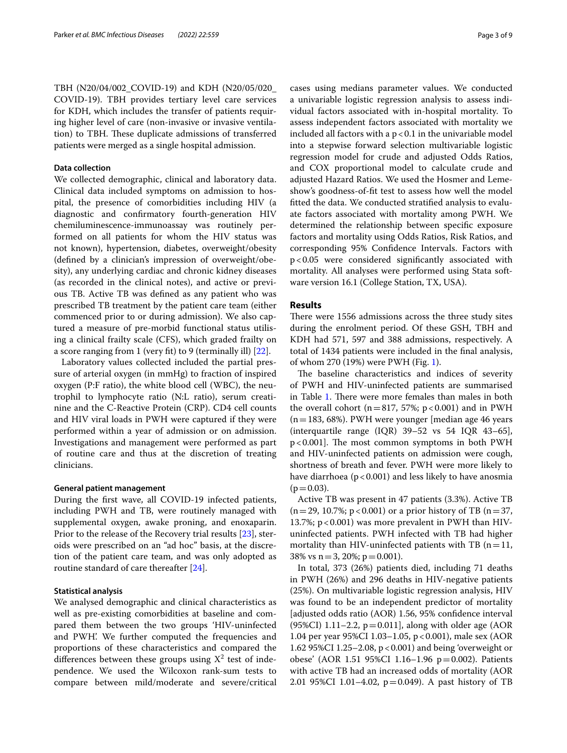TBH (N20/04/002\_COVID-19) and KDH (N20/05/020\_ COVID-19). TBH provides tertiary level care services for KDH, which includes the transfer of patients requiring higher level of care (non-invasive or invasive ventilation) to TBH. These duplicate admissions of transferred patients were merged as a single hospital admission.

# **Data collection**

We collected demographic, clinical and laboratory data. Clinical data included symptoms on admission to hospital, the presence of comorbidities including HIV (a diagnostic and confrmatory fourth-generation HIV chemiluminescence-immunoassay was routinely performed on all patients for whom the HIV status was not known), hypertension, diabetes, overweight/obesity (defned by a clinician's impression of overweight/obesity), any underlying cardiac and chronic kidney diseases (as recorded in the clinical notes), and active or previous TB. Active TB was defned as any patient who was prescribed TB treatment by the patient care team (either commenced prior to or during admission). We also captured a measure of pre-morbid functional status utilising a clinical frailty scale (CFS), which graded frailty on a score ranging from 1 (very ft) to 9 (terminally ill) [\[22](#page-8-7)].

Laboratory values collected included the partial pressure of arterial oxygen (in mmHg) to fraction of inspired oxygen (P:F ratio), the white blood cell (WBC), the neutrophil to lymphocyte ratio (N:L ratio), serum creatinine and the C-Reactive Protein (CRP). CD4 cell counts and HIV viral loads in PWH were captured if they were performed within a year of admission or on admission. Investigations and management were performed as part of routine care and thus at the discretion of treating clinicians.

## **General patient management**

During the frst wave, all COVID-19 infected patients, including PWH and TB, were routinely managed with supplemental oxygen, awake proning, and enoxaparin. Prior to the release of the Recovery trial results [\[23](#page-8-8)], steroids were prescribed on an "ad hoc" basis, at the discretion of the patient care team, and was only adopted as routine standard of care thereafter [[24](#page-8-9)].

# **Statistical analysis**

We analysed demographic and clinical characteristics as well as pre-existing comorbidities at baseline and compared them between the two groups 'HIV-uninfected and PWH'. We further computed the frequencies and proportions of these characteristics and compared the differences between these groups using  $X^2$  test of independence. We used the Wilcoxon rank-sum tests to compare between mild/moderate and severe/critical cases using medians parameter values. We conducted a univariable logistic regression analysis to assess individual factors associated with in-hospital mortality. To assess independent factors associated with mortality we included all factors with a  $p < 0.1$  in the univariable model into a stepwise forward selection multivariable logistic regression model for crude and adjusted Odds Ratios, and COX proportional model to calculate crude and adjusted Hazard Ratios. We used the Hosmer and Lemeshow's goodness-of-ft test to assess how well the model ftted the data. We conducted stratifed analysis to evaluate factors associated with mortality among PWH. We determined the relationship between specifc exposure factors and mortality using Odds Ratios, Risk Ratios, and corresponding 95% Confdence Intervals. Factors with p<0.05 were considered signifcantly associated with mortality. All analyses were performed using Stata software version 16.1 (College Station, TX, USA).

# **Results**

There were 1556 admissions across the three study sites during the enrolment period. Of these GSH, TBH and KDH had 571, 597 and 388 admissions, respectively. A total of 1434 patients were included in the fnal analysis, of whom 270 (19%) were PWH (Fig. [1](#page-3-0)).

The baseline characteristics and indices of severity of PWH and HIV-uninfected patients are summarised in Table [1](#page-4-0). There were more females than males in both the overall cohort ( $n=817$ , 57%;  $p < 0.001$ ) and in PWH (n=183, 68%). PWH were younger [median age 46 years (interquartile range  $(IQR)$  39–52 vs 54 IQR 43–65],  $p < 0.001$ ]. The most common symptoms in both PWH and HIV-uninfected patients on admission were cough, shortness of breath and fever. PWH were more likely to have diarrhoea ( $p < 0.001$ ) and less likely to have anosmia  $(p=0.03)$ .

Active TB was present in 47 patients (3.3%). Active TB  $(n=29, 10.7\%; p<0.001)$  or a prior history of TB  $(n=37,$ 13.7%; p < 0.001) was more prevalent in PWH than HIVuninfected patients. PWH infected with TB had higher mortality than HIV-uninfected patients with TB ( $n=11$ , 38% vs  $n = 3$ , 20%;  $p = 0.001$ ).

In total, 373 (26%) patients died, including 71 deaths in PWH (26%) and 296 deaths in HIV-negative patients (25%). On multivariable logistic regression analysis, HIV was found to be an independent predictor of mortality [adjusted odds ratio (AOR) 1.56, 95% confdence interval  $(95\%CI)$  1.11–2.2, p = 0.011], along with older age (AOR 1.04 per year 95%CI 1.03–1.05, p<0.001), male sex (AOR 1.62 95%CI 1.25–2.08, p<0.001) and being 'overweight or obese' (AOR 1.51 95%CI 1.16–1.96  $p = 0.002$ ). Patients with active TB had an increased odds of mortality (AOR 2.01 95%CI 1.01–4.02, p=0.049). A past history of TB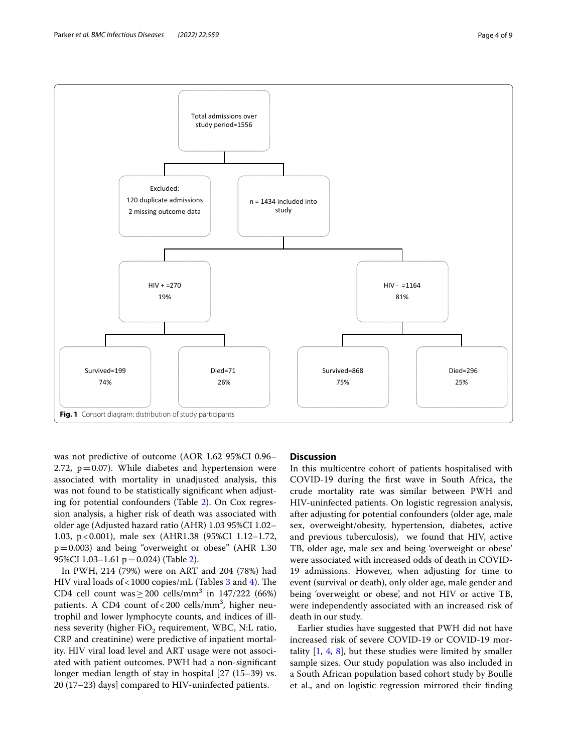

<span id="page-3-0"></span>was not predictive of outcome (AOR 1.62 95%CI 0.96– 2.72,  $p=0.07$ ). While diabetes and hypertension were associated with mortality in unadjusted analysis, this was not found to be statistically signifcant when adjusting for potential confounders (Table [2](#page-5-0)). On Cox regression analysis, a higher risk of death was associated with older age (Adjusted hazard ratio (AHR) 1.03 95%CI 1.02– 1.03, p<0.001), male sex (AHR1.38 (95%CI 1.12–1.72,  $p=0.003$ ) and being "overweight or obese" (AHR 1.30 95%CI 1.03-1.61 p=0.024) (Table [2\)](#page-5-0).

In PWH, 214 (79%) were on ART and 204 (78%) had HIV viral loads of < 1000 copies/mL (Tables  $3$  and  $4$ ). The CD4 cell count was  $\geq$  200 cells/mm<sup>3</sup> in 147/222 (66%) patients. A CD4 count of<200 cells/mm<sup>3</sup>, higher neutrophil and lower lymphocyte counts, and indices of illness severity (higher  $FiO<sub>2</sub>$  requirement, WBC, N:L ratio, CRP and creatinine) were predictive of inpatient mortality. HIV viral load level and ART usage were not associated with patient outcomes. PWH had a non-signifcant longer median length of stay in hospital [27 (15–39) vs. 20 (17–23) days] compared to HIV-uninfected patients.

# **Discussion**

In this multicentre cohort of patients hospitalised with COVID-19 during the frst wave in South Africa, the crude mortality rate was similar between PWH and HIV-uninfected patients. On logistic regression analysis, after adjusting for potential confounders (older age, male sex, overweight/obesity, hypertension, diabetes, active and previous tuberculosis), we found that HIV, active TB, older age, male sex and being 'overweight or obese' were associated with increased odds of death in COVID-19 admissions. However, when adjusting for time to event (survival or death), only older age, male gender and being 'overweight or obese', and not HIV or active TB, were independently associated with an increased risk of death in our study.

Earlier studies have suggested that PWH did not have increased risk of severe COVID-19 or COVID-19 mortality [[1,](#page-7-0) [4](#page-7-3), [8\]](#page-7-7), but these studies were limited by smaller sample sizes. Our study population was also included in a South African population based cohort study by Boulle et al., and on logistic regression mirrored their fnding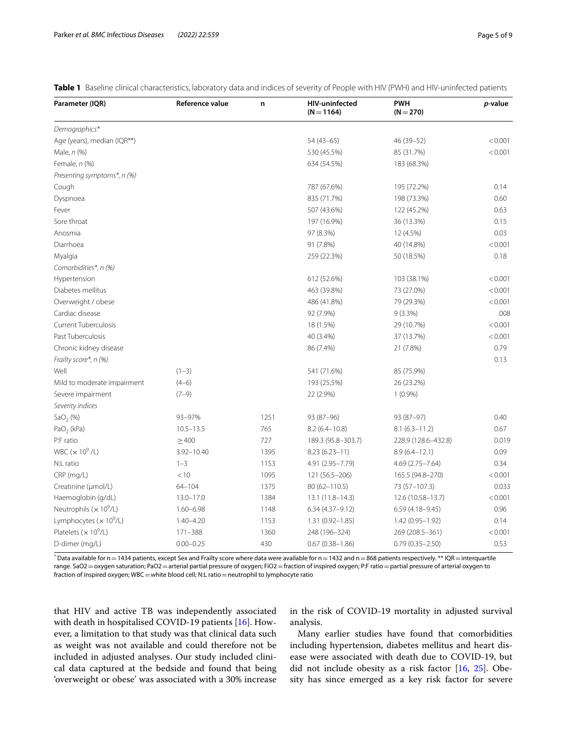<span id="page-4-0"></span>

| Table 1 Baseline clinical characteristics, laboratory data and indices of severity of People with HIV (PWH) and HIV-uninfected patients |  |
|-----------------------------------------------------------------------------------------------------------------------------------------|--|
|-----------------------------------------------------------------------------------------------------------------------------------------|--|

| Parameter (IQR)                            | Reference value | n    | <b>HIV-uninfected</b><br>$(N = 1164)$ | <b>PWH</b><br>$(N = 270)$ | p-value |
|--------------------------------------------|-----------------|------|---------------------------------------|---------------------------|---------|
| Demographics*                              |                 |      |                                       |                           |         |
| Age (years), median (IQR**)                |                 |      | 54 (43-65)                            | 46 (39 - 52)              | < 0.001 |
| Male, n (%)                                |                 |      | 530 (45.5%)                           | 85 (31.7%)                | < 0.001 |
| Female, n (%)                              |                 |      | 634 (54.5%)                           | 183 (68.3%)               |         |
| Presenting symptoms*, n (%)                |                 |      |                                       |                           |         |
| Cough                                      |                 |      | 787 (67.6%)                           | 195 (72.2%)               | 0.14    |
| Dyspnoea                                   |                 |      | 835 (71.7%)                           | 198 (73.3%)               | 0.60    |
| Fever                                      |                 |      | 507 (43.6%)                           | 122 (45.2%)               | 0.63    |
| Sore throat                                |                 |      | 197 (16.9%)                           | 36 (13.3%)                | 0.15    |
| Anosmia                                    |                 |      | 97 (8.3%)                             | 12 (4.5%)                 | 0.03    |
| Diarrhoea                                  |                 |      | 91 (7.8%)                             | 40 (14.8%)                | < 0.001 |
| Myalgia                                    |                 |      | 259 (22.3%)                           | 50 (18.5%)                | 0.18    |
| Comorbidities*, n (%)                      |                 |      |                                       |                           |         |
| Hypertension                               |                 |      | 612 (52.6%)                           | 103 (38.1%)               | < 0.001 |
| Diabetes mellitus                          |                 |      | 463 (39.8%)                           | 73 (27.0%)                | < 0.001 |
| Overweight / obese                         |                 |      | 486 (41.8%)                           | 79 (29.3%)                | < 0.001 |
| Cardiac disease                            |                 |      | 92 (7.9%)                             | $9(3.3\%)$                | .008    |
| <b>Current Tuberculosis</b>                |                 |      | 18 (1.5%)                             | 29 (10.7%)                | < 0.001 |
| Past Tuberculosis                          |                 |      | 40 (3.4%)                             | 37 (13.7%)                | < 0.001 |
| Chronic kidney disease                     |                 |      | 86 (7.4%)                             | 21 (7.8%)                 | 0.79    |
| Frailty score*, n (%)                      |                 |      |                                       |                           | 0.13    |
| Well                                       | $(1-3)$         |      | 541 (71.6%)                           | 85 (75.9%)                |         |
| Mild to moderate impairment                | $(4-6)$         |      | 193 (25,5%)                           | 26 (23.2%)                |         |
| Severe impairment                          | $(7-9)$         |      | 22 (2.9%)                             | $1(0.9\%)$                |         |
| Severity indices                           |                 |      |                                       |                           |         |
| SaO <sub>2</sub> (%)                       | 93-97%          | 1251 | 93 (87-96)                            | 93 (87-97)                | 0.40    |
| $PaO2$ (kPa)                               | $10.5 - 13.5$   | 765  | $8.2(6.4 - 10.8)$                     | $8.1(6.3 - 11.2)$         | 0.67    |
| P:F ratio                                  | $\geq 400$      | 727  | 189.3 (95.8-303.7)                    | 228.9 (128.6-432.8)       | 0.019   |
| WBC $(x 10^9/L)$                           | $3.92 - 10.40$  | 1395 | $8.23(6.23 - 11)$                     | $8.9(6.4 - 12.1)$         | 0.09    |
| N:L ratio                                  | $1 - 3$         | 1153 | 4.91 (2.95-7.79)                      | 4.69 (2.75 - 7.64)        | 0.34    |
| CRP (mg/L)                                 | < 10            | 1095 | 121 (56.5-206)                        | 165.5 (94.8-270)          | < 0.001 |
| Creatinine (µmol/L)                        | $64 - 104$      | 1375 | 80 (62-110.5)                         | 73 (57-107.3)             | 0.033   |
| Haemoglobin (g/dL)                         | $13.0 - 17.0$   | 1384 | 13.1 (11.8–14.3)                      | 12.6 (10.58-13.7)         | < 0.001 |
| Neutrophils ( $\times$ 10 <sup>9</sup> /L) | $1.60 - 6.98$   | 1148 | $6.34(4.37-9.12)$                     | $6.59(4.18 - 9.45)$       | 0.96    |
| Lymphocytes ( $\times$ 10 <sup>9</sup> /L) | $1.40 - 4.20$   | 1153 | $1.31(0.92 - 1.85)$                   | 1.42 (0.95-1.92)          | 0.14    |
| Platelets ( $\times$ 10 <sup>9</sup> /L)   | $171 - 388$     | 1360 | 248 (196-324)                         | 269 (208.5-361)           | < 0.001 |
| D-dimer (mg/L)                             | $0.00 - 0.25$   | 430  | $0.67(0.38 - 1.86)$                   | $0.79(0.35 - 2.50)$       | 0.53    |

 $^*$  Data available for n $=$  1434 patients, except Sex and Frailty score where data were available for n $=$  1432 and n $=$  868 patients respectively.  $^{**}$  IQR $=$  interquartile range. SaO2 = oxygen saturation; PaO2 = arterial partial pressure of oxygen; FiO2 = fraction of inspired oxygen; P:F ratio = partial pressure of arterial oxygen to fraction of inspired oxygen; WBC = white blood cell; N:L ratio = neutrophil to lymphocyte ratio

that HIV and active TB was independently associated with death in hospitalised COVID-19 patients [[16\]](#page-8-3). However, a limitation to that study was that clinical data such as weight was not available and could therefore not be included in adjusted analyses. Our study included clinical data captured at the bedside and found that being 'overweight or obese' was associated with a 30% increase in the risk of COVID-19 mortality in adjusted survival analysis.

Many earlier studies have found that comorbidities including hypertension, diabetes mellitus and heart disease were associated with death due to COVID-19, but did not include obesity as a risk factor [\[16](#page-8-3), [25\]](#page-8-10). Obesity has since emerged as a key risk factor for severe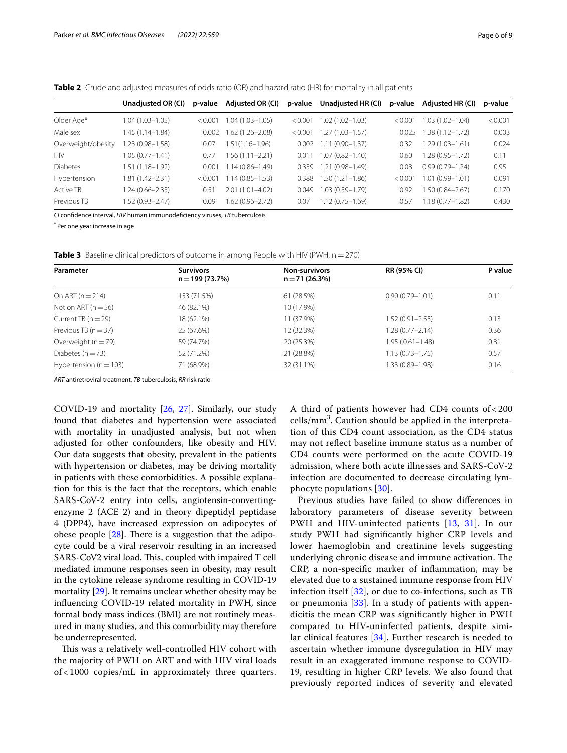<span id="page-5-0"></span>**Table 2** Crude and adjusted measures of odds ratio (OR) and hazard ratio (HR) for mortality in all patients

|                    | Unadjusted OR (CI)  | p-value | <b>Adjusted OR (CI)</b> |         | p-value Unadjusted HR (CI) | p-value | Adjusted HR (CI)    | p-value |
|--------------------|---------------------|---------|-------------------------|---------|----------------------------|---------|---------------------|---------|
| Older Age*         | 1.04 (1.03-1.05)    | < 0.001 | 04 (1.03-1.05)          | < 0.001 | $1.02(1.02 - 1.03)$        | < 0.001 | $1.03(1.02 - 1.04)$ | < 0.001 |
| Male sex           | 1.45 (1.14 - 1.84)  | 0.002   | $.62(1.26 - 2.08)$      | < 0.001 | $1.27(1.03 - 1.57)$        | 0.025   | $.38(1.12 - 1.72)$  | 0.003   |
| Overweight/obesity | .23 (0.98-1.58)     | 0.07    | $.51(1.16 - 1.96)$      | 0.002   | $1.11(0.90 - 1.37)$        | 0.32    | $1.29(1.03 - 1.61)$ | 0.024   |
| <b>HIV</b>         | 1.05 (0.77-1.41)    | 0.77    | $.56(1.11 - 2.21)$      | 0.01    | $1.07(0.82 - 1.40)$        | 0.60    | 1.28 (0.95-1.72)    | 0.11    |
| <b>Diabetes</b>    | 1.51 (1.18–1.92)    | 0.001   | $1.14(0.86 - 1.49)$     | 0.359   | $1.21(0.98 - 1.49)$        | 0.08    | $0.99(0.79 - 1.24)$ | 0.95    |
| Hypertension       | 1.81 (1.42-2.31)    | < 0.001 | $1.14(0.85 - 1.53)$     | 0.388   | $1.50(1.21 - 1.86)$        | < 0.001 | $.01(0.99 - 1.01)$  | 0.091   |
| Active TB          | $1.24(0.66 - 2.35)$ | 0.51    | $2.01(1.01 - 4.02)$     | 0.049   | 1.03 (0.59-1.79)           | 0.92    | $.50(0.84 - 2.67)$  | 0.170   |
| Previous TB        | 1.52 (0.93-2.47)    | 0.09    | $.62(0.96 - 2.72)$      | 0.07    | 1.12 (0.75-1.69)           | 0.57    | $1.18(0.77 - 1.82)$ | 0.430   |

*CI* confdence interval, *HIV* human immunodefciency viruses, *TB* tuberculosis

\* Per one year increase in age

<span id="page-5-1"></span>**Table 3** Baseline clinical predictors of outcome in among People with HIV (PWH, n = 270)

| Parameter                  | <b>Survivors</b><br>$n = 199(73.7%)$ | <b>Non-survivors</b><br>$n = 71(26.3%)$ | RR (95% CI)          | P value |
|----------------------------|--------------------------------------|-----------------------------------------|----------------------|---------|
| On ART $(n = 214)$         | 153 (71.5%)                          | 61 (28.5%)                              | $0.90(0.79 - 1.01)$  | 0.11    |
| Not on ART $(n = 56)$      | 46 (82.1%)                           | 10 (17.9%)                              |                      |         |
| Current TB $(n=29)$        | 18 (62.1%)                           | 11 (37.9%)                              | $1.52(0.91 - 2.55)$  | 0.13    |
| Previous TB $(n = 37)$     | 25 (67.6%)                           | 12 (32.3%)                              | $1.28(0.77 - 2.14)$  | 0.36    |
| Overweight $(n = 79)$      | 59 (74.7%)                           | 20 (25.3%)                              | $1.95(.0.61 - 1.48)$ | 0.81    |
| Diabetes ( $n = 73$ )      | 52 (71.2%)                           | 21 (28.8%)                              | $1.13(0.73 - 1.75)$  | 0.57    |
| Hypertension ( $n = 103$ ) | 71 (68.9%)                           | 32 (31.1%)                              | $1.33(0.89 - 1.98)$  | 0.16    |

*ART* antiretroviral treatment, *TB* tuberculosis, *RR* risk ratio

COVID-19 and mortality [\[26](#page-8-11), [27\]](#page-8-12). Similarly, our study found that diabetes and hypertension were associated with mortality in unadjusted analysis, but not when adjusted for other confounders, like obesity and HIV. Our data suggests that obesity, prevalent in the patients with hypertension or diabetes, may be driving mortality in patients with these comorbidities. A possible explanation for this is the fact that the receptors, which enable SARS-CoV-2 entry into cells, angiotensin-convertingenzyme 2 (ACE 2) and in theory dipeptidyl peptidase 4 (DPP4), have increased expression on adipocytes of obese people  $[28]$  $[28]$ . There is a suggestion that the adipocyte could be a viral reservoir resulting in an increased SARS-CoV2 viral load. This, coupled with impaired T cell mediated immune responses seen in obesity, may result in the cytokine release syndrome resulting in COVID-19 mortality [\[29\]](#page-8-14). It remains unclear whether obesity may be infuencing COVID-19 related mortality in PWH, since formal body mass indices (BMI) are not routinely measured in many studies, and this comorbidity may therefore be underrepresented.

This was a relatively well-controlled HIV cohort with the majority of PWH on ART and with HIV viral loads of < 1000 copies/mL in approximately three quarters. A third of patients however had CD4 counts of < 200 cells/mm<sup>3</sup>. Caution should be applied in the interpretation of this CD4 count association, as the CD4 status may not refect baseline immune status as a number of CD4 counts were performed on the acute COVID-19 admission, where both acute illnesses and SARS-CoV-2 infection are documented to decrease circulating lymphocyte populations [[30\]](#page-8-15).

Previous studies have failed to show diferences in laboratory parameters of disease severity between PWH and HIV-uninfected patients [\[13](#page-8-0), [31](#page-8-16)]. In our study PWH had signifcantly higher CRP levels and lower haemoglobin and creatinine levels suggesting underlying chronic disease and immune activation. The CRP, a non-specifc marker of infammation, may be elevated due to a sustained immune response from HIV infection itself [[32\]](#page-8-17), or due to co-infections, such as TB or pneumonia [[33](#page-8-18)]. In a study of patients with appendicitis the mean CRP was signifcantly higher in PWH compared to HIV-uninfected patients, despite similar clinical features [[34](#page-8-19)]. Further research is needed to ascertain whether immune dysregulation in HIV may result in an exaggerated immune response to COVID-19, resulting in higher CRP levels. We also found that previously reported indices of severity and elevated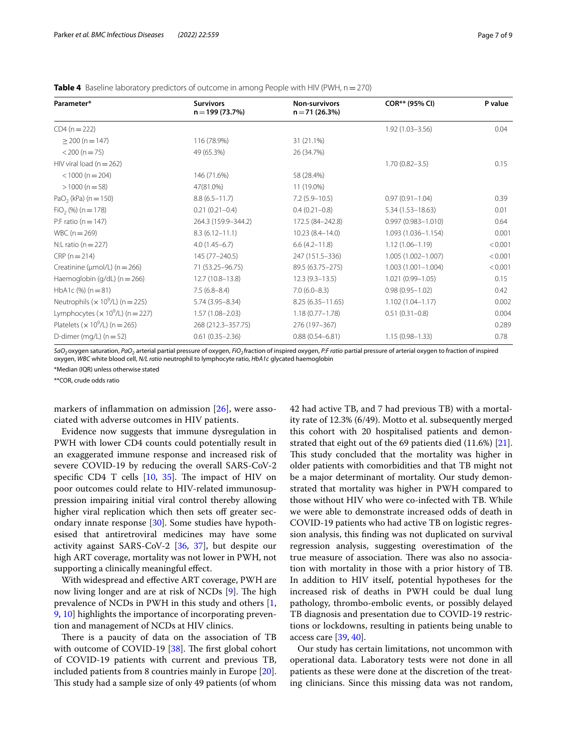<span id="page-6-0"></span>**Table 4** Baseline laboratory predictors of outcome in among People with HIV (PWH,  $n = 270$ )

| Parameter*                                               | <b>Survivors</b><br>$n = 199(73.7%)$ | <b>Non-survivors</b><br>$n = 71(26.3%)$ | COR** (95% CI)         | P value |
|----------------------------------------------------------|--------------------------------------|-----------------------------------------|------------------------|---------|
| $CD4 (n = 222)$                                          |                                      |                                         | $1.92(1.03 - 3.56)$    | 0.04    |
| $\geq$ 200 (n = 147)                                     | 116 (78.9%)                          | 31 (21.1%)                              |                        |         |
| $<$ 200 (n = 75)                                         | 49 (65.3%)                           | 26 (34.7%)                              |                        |         |
| HIV viral load ( $n = 262$ )                             |                                      |                                         | $1.70(0.82 - 3.5)$     | 0.15    |
| $<$ 1000 (n = 204)                                       | 146 (71.6%)                          | 58 (28.4%)                              |                        |         |
| $>1000$ (n = 58)                                         | 47(81.0%)                            | 11 (19.0%)                              |                        |         |
| PaO <sub>2</sub> (kPa) ( $n = 150$ )                     | $8.8(6.5 - 11.7)$                    | $7.2(5.9 - 10.5)$                       | $0.97(0.91 - 1.04)$    | 0.39    |
| $FiO2$ (%) (n = 178)                                     | $0.21(0.21 - 0.4)$                   | $0.4(0.21 - 0.8)$                       | $5.34(1.53 - 18.63)$   | 0.01    |
| P:F ratio ( $n = 147$ )                                  | 264.3 (159.9-344.2)                  | 172.5 (84-242.8)                        | $0.997(0.983 - 1.010)$ | 0.64    |
| $WBC(n = 269)$                                           | $8.3(6.12 - 11.1)$                   | $10.23(8.4 - 14.0)$                     | 1.093 (1.036-1.154)    | 0.001   |
| N:L ratio ( $n = 227$ )                                  | $4.0(1.45-6.7)$                      | $6.6(4.2 - 11.8)$                       | $1.12(1.06 - 1.19)$    | < 0.001 |
| $CRP(n=214)$                                             | 145 (77-240.5)                       | 247 (151.5-336)                         | 1.005 (1.002-1.007)    | < 0.001 |
| Creatinine ( $\mu$ mol/L) (n = 266)                      | 71 (53.25 - 96.75)                   | 89.5 (63.75 - 275)                      | $1.003(1.001 - 1.004)$ | < 0.001 |
| Haemoglobin (g/dL) (n = 266)                             | 12.7 (10.8-13.8)                     | $12.3(9.3 - 13.5)$                      | $1.021(0.99 - 1.05)$   | 0.15    |
| HbA1c $(\%)$ (n = 81)                                    | $7.5(6.8-8.4)$                       | $7.0(6.0-8.3)$                          | $0.98(0.95 - 1.02)$    | 0.42    |
| Neutrophils ( $\times$ 10 <sup>9</sup> /L) ( $n = 225$ ) | $5.74(3.95 - 8.34)$                  | $8.25(6.35-11.65)$                      | $1.102(1.04 - 1.17)$   | 0.002   |
| Lymphocytes ( $\times$ 10 <sup>9</sup> /L) ( $n = 227$ ) | $1.57(1.08 - 2.03)$                  | $1.18(0.77 - 1.78)$                     | $0.51(0.31 - 0.8)$     | 0.004   |
| Platelets ( $\times$ 10 <sup>9</sup> /L) ( $n = 265$ )   | 268 (212.3-357.75)                   | 276 (197-367)                           |                        | 0.289   |
| D-dimer (mg/L) $(n = 52)$                                | $0.61(0.35 - 2.36)$                  | $0.88(0.54 - 6.81)$                     | $1.15(0.98 - 1.33)$    | 0.78    |

*SaO2*oxygen saturation, *PaO2* arterial partial pressure of oxygen, *FiO2* fraction of inspired oxygen, *P:F ratio* partial pressure of arterial oxygen to fraction of inspired oxygen, *WBC* white blood cell, *N/L ratio* neutrophil to lymphocyte ratio, *HbA1c* glycated haemoglobin

\*Median (IQR) unless otherwise stated

\*\*COR, crude odds ratio

markers of inflammation on admission  $[26]$  $[26]$ , were associated with adverse outcomes in HIV patients.

Evidence now suggests that immune dysregulation in PWH with lower CD4 counts could potentially result in an exaggerated immune response and increased risk of severe COVID-19 by reducing the overall SARS-CoV-2 specific CD4 T cells [[10](#page-7-9), [35](#page-8-20)]. The impact of HIV on poor outcomes could relate to HIV-related immunosuppression impairing initial viral control thereby allowing higher viral replication which then sets off greater secondary innate response [\[30\]](#page-8-15). Some studies have hypothesised that antiretroviral medicines may have some activity against SARS-CoV-2 [[36](#page-8-21), [37](#page-8-22)], but despite our high ART coverage, mortality was not lower in PWH, not supporting a clinically meaningful efect.

With widespread and efective ART coverage, PWH are now living longer and are at risk of NCDs [\[9\]](#page-7-8). The high prevalence of NCDs in PWH in this study and others [\[1](#page-7-0), [9,](#page-7-8) [10](#page-7-9)] highlights the importance of incorporating prevention and management of NCDs at HIV clinics.

There is a paucity of data on the association of TB with outcome of COVID-19  $[38]$  $[38]$  $[38]$ . The first global cohort of COVID-19 patients with current and previous TB, included patients from 8 countries mainly in Europe [\[20](#page-8-24)]. This study had a sample size of only 49 patients (of whom 42 had active TB, and 7 had previous TB) with a mortality rate of 12.3% (6/49). Motto et al. subsequently merged this cohort with 20 hospitalised patients and demonstrated that eight out of the 69 patients died (11.6%) [\[21](#page-8-6)]. This study concluded that the mortality was higher in older patients with comorbidities and that TB might not be a major determinant of mortality. Our study demonstrated that mortality was higher in PWH compared to those without HIV who were co-infected with TB. While we were able to demonstrate increased odds of death in COVID-19 patients who had active TB on logistic regression analysis, this fnding was not duplicated on survival regression analysis, suggesting overestimation of the true measure of association. There was also no association with mortality in those with a prior history of TB. In addition to HIV itself, potential hypotheses for the increased risk of deaths in PWH could be dual lung pathology, thrombo-embolic events, or possibly delayed TB diagnosis and presentation due to COVID-19 restrictions or lockdowns, resulting in patients being unable to access care [[39,](#page-8-25) [40](#page-8-26)].

Our study has certain limitations, not uncommon with operational data. Laboratory tests were not done in all patients as these were done at the discretion of the treating clinicians. Since this missing data was not random,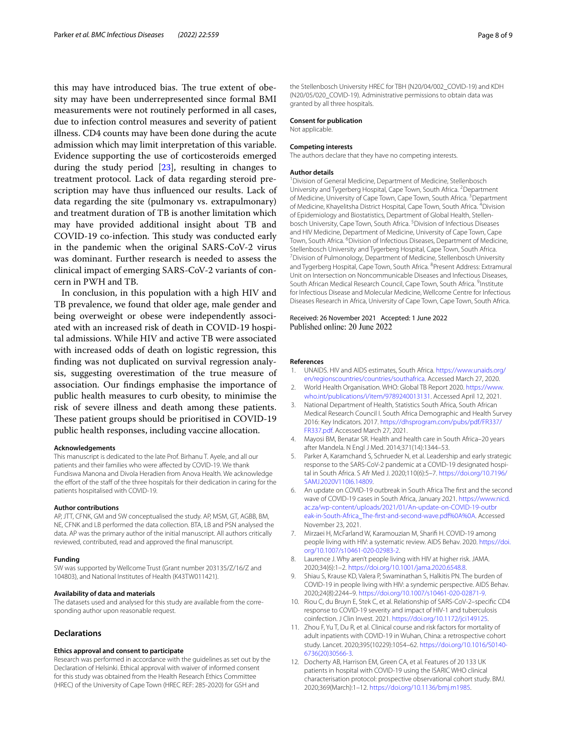this may have introduced bias. The true extent of obesity may have been underrepresented since formal BMI measurements were not routinely performed in all cases, due to infection control measures and severity of patient illness. CD4 counts may have been done during the acute admission which may limit interpretation of this variable. Evidence supporting the use of corticosteroids emerged during the study period [[23](#page-8-8)], resulting in changes to treatment protocol. Lack of data regarding steroid prescription may have thus infuenced our results. Lack of data regarding the site (pulmonary vs. extrapulmonary) and treatment duration of TB is another limitation which may have provided additional insight about TB and COVID-19 co-infection. This study was conducted early in the pandemic when the original SARS-CoV-2 virus was dominant. Further research is needed to assess the clinical impact of emerging SARS-CoV-2 variants of concern in PWH and TB.

In conclusion, in this population with a high HIV and TB prevalence, we found that older age, male gender and being overweight or obese were independently associated with an increased risk of death in COVID-19 hospital admissions. While HIV and active TB were associated with increased odds of death on logistic regression, this fnding was not duplicated on survival regression analysis, suggesting overestimation of the true measure of association. Our fndings emphasise the importance of public health measures to curb obesity, to minimise the risk of severe illness and death among these patients. These patient groups should be prioritised in COVID-19 public health responses, including vaccine allocation.

#### **Acknowledgements**

This manuscript is dedicated to the late Prof. Birhanu T. Ayele, and all our patients and their families who were afected by COVID-19. We thank Fundiswa Manona and Divola Heradien from Anova Health. We acknowledge the effort of the staff of the three hospitals for their dedication in caring for the patients hospitalised with COVID-19.

#### **Author contributions**

AP, JTT, CFNK, GM and SW conceptualised the study. AP, MSM, GT, AGBB, BM, NE, CFNK and LB performed the data collection. BTA, LB and PSN analysed the data. AP was the primary author of the initial manuscript. All authors critically reviewed, contributed, read and approved the fnal manuscript.

#### **Funding**

SW was supported by Wellcome Trust (Grant number 203135/Z/16/Z and 104803), and National Institutes of Health (K43TW011421).

#### **Availability of data and materials**

The datasets used and analysed for this study are available from the corresponding author upon reasonable request.

# **Declarations**

#### **Ethics approval and consent to participate**

Research was performed in accordance with the guidelines as set out by the Declaration of Helsinki. Ethical approval with waiver of informed consent for this study was obtained from the Health Research Ethics Committee (HREC) of the University of Cape Town (HREC REF: 285-2020) for GSH and

the Stellenbosch University HREC for TBH (N20/04/002\_COVID-19) and KDH (N20/05/020\_COVID-19). Administrative permissions to obtain data was granted by all three hospitals.

#### **Consent for publication**

Not applicable.

#### **Competing interests**

The authors declare that they have no competing interests.

#### **Author details**

<sup>1</sup> Division of General Medicine, Department of Medicine, Stellenbosch University and Tygerberg Hospital, Cape Town, South Africa. <sup>2</sup> Department of Medicine, University of Cape Town, Cape Town, South Africa.<sup>3</sup> Department of Medicine, Khayelitsha District Hospital, Cape Town, South Africa. <sup>4</sup>Division of Epidemiology and Biostatistics, Department of Global Health, Stellenbosch University, Cape Town, South Africa.<sup>5</sup> Division of Infectious Diseases and HIV Medicine, Department of Medicine, University of Cape Town, Cape Town, South Africa. <sup>6</sup> Division of Infectious Diseases, Department of Medicine, Stellenbosch University and Tygerberg Hospital, Cape Town, South Africa. 7 Division of Pulmonology, Department of Medicine, Stellenbosch University and Tygerberg Hospital, Cape Town, South Africa. <sup>8</sup> Present Address: Extramural Unit on Intersection on Noncommunicable Diseases and Infectious Diseases, South African Medical Research Council, Cape Town, South Africa. <sup>9</sup>Institute for Infectious Disease and Molecular Medicine, Wellcome Centre for Infectious Diseases Research in Africa, University of Cape Town, Cape Town, South Africa.

Received: 26 November 2021 Accepted: 1 June 2022

# **References**

- <span id="page-7-0"></span>1. UNAIDS. HIV and AIDS estimates, South Africa. [https://www.unaids.org/](https://www.unaids.org/en/regionscountries/countries/southafrica) [en/regionscountries/countries/southafrica](https://www.unaids.org/en/regionscountries/countries/southafrica). Accessed March 27, 2020.
- <span id="page-7-1"></span>2. World Health Organisation. WHO: Global TB Report 2020. [https://www.](https://www.who.int/publications/i/item/9789240013131) [who.int/publications/i/item/9789240013131](https://www.who.int/publications/i/item/9789240013131). Accessed April 12, 2021.
- <span id="page-7-2"></span>3. National Department of Health, Statistics South Africa, South African Medical Research Council I. South Africa Demographic and Health Survey 2016: Key Indicators. 2017. [https://dhsprogram.com/pubs/pdf/FR337/](https://dhsprogram.com/pubs/pdf/FR337/FR337.pdf) [FR337.pdf](https://dhsprogram.com/pubs/pdf/FR337/FR337.pdf). Accessed March 27, 2021.
- <span id="page-7-3"></span>4. Mayosi BM, Benatar SR. Health and health care in South Africa–20 years after Mandela. N Engl J Med. 2014;371(14):1344–53.
- <span id="page-7-4"></span>5. Parker A, Karamchand S, Schrueder N, et al. Leadership and early strategic response to the SARS-CoV-2 pandemic at a COVID-19 designated hospital in South Africa. S Afr Med J. 2020;110(6):5–7. [https://doi.org/10.7196/](https://doi.org/10.7196/SAMJ.2020V110I6.14809) [SAMJ.2020V110I6.14809](https://doi.org/10.7196/SAMJ.2020V110I6.14809).
- <span id="page-7-5"></span>6. An update on COVID-19 outbreak in South Africa The frst and the second wave of COVID-19 cases in South Africa, January 2021. [https://www.nicd.](https://www.nicd.ac.za/wp-content/uploads/2021/01/An-update-on-COVID-19-outbreak-in-South-Africa_The-first-and-second-wave.pdf%0A%0A) [ac.za/wp-content/uploads/2021/01/An-update-on-COVID-19-outbr](https://www.nicd.ac.za/wp-content/uploads/2021/01/An-update-on-COVID-19-outbreak-in-South-Africa_The-first-and-second-wave.pdf%0A%0A) [eak-in-South-Africa\\_The-frst-and-second-wave.pdf%0A%0A](https://www.nicd.ac.za/wp-content/uploads/2021/01/An-update-on-COVID-19-outbreak-in-South-Africa_The-first-and-second-wave.pdf%0A%0A). Accessed November 23, 2021.
- <span id="page-7-6"></span>7. Mirzaei H, McFarland W, Karamouzian M, Sharif H. COVID-19 among people living with HIV: a systematic review. AIDS Behav. 2020. [https://doi.](https://doi.org/10.1007/s10461-020-02983-2) [org/10.1007/s10461-020-02983-2](https://doi.org/10.1007/s10461-020-02983-2).
- <span id="page-7-7"></span>8. Laurence J. Why aren't people living with HIV at higher risk. JAMA. 2020;34(6):1–2. <https://doi.org/10.1001/jama.2020.6548.8>.
- <span id="page-7-8"></span>9. Shiau S, Krause KD, Valera P, Swaminathan S, Halkitis PN. The burden of COVID-19 in people living with HIV: a syndemic perspective. AIDS Behav. 2020;24(8):2244–9. [https://doi.org/10.1007/s10461-020-02871-9.](https://doi.org/10.1007/s10461-020-02871-9)
- <span id="page-7-9"></span>10. Riou C, du Bruyn E, Stek C, et al. Relationship of SARS-CoV-2–specifc CD4 response to COVID-19 severity and impact of HIV-1 and tuberculosis coinfection. J Clin Invest. 2021. <https://doi.org/10.1172/jci149125>.
- <span id="page-7-10"></span>11. Zhou F, Yu T, Du R, et al. Clinical course and risk factors for mortality of adult inpatients with COVID-19 in Wuhan, China: a retrospective cohort study. Lancet. 2020;395(10229):1054–62. [https://doi.org/10.1016/S0140-](https://doi.org/10.1016/S0140-6736(20)30566-3) [6736\(20\)30566-3.](https://doi.org/10.1016/S0140-6736(20)30566-3)
- 12. Docherty AB, Harrison EM, Green CA, et al. Features of 20 133 UK patients in hospital with COVID-19 using the ISARIC WHO clinical characterisation protocol: prospective observational cohort study. BMJ. 2020;369(March):1–12.<https://doi.org/10.1136/bmj.m1985>.